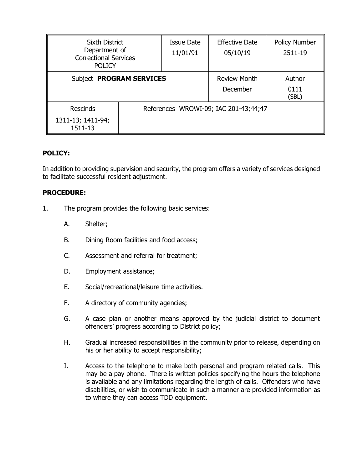| <b>Sixth District</b><br>Department of<br><b>Correctional Services</b><br><b>POLICY</b> |                                       | Issue Date<br>11/01/91 | <b>Effective Date</b><br>05/10/19 | <b>Policy Number</b><br>2511-19 |
|-----------------------------------------------------------------------------------------|---------------------------------------|------------------------|-----------------------------------|---------------------------------|
| Subject PROGRAM SERVICES                                                                |                                       |                        | <b>Review Month</b><br>December   | Author<br>0111<br>(SBL)         |
| <b>Rescinds</b><br>1311-13; 1411-94;<br>1511-13                                         | References WROWI-09; IAC 201-43;44;47 |                        |                                   |                                 |

## **POLICY:**

In addition to providing supervision and security, the program offers a variety of services designed to facilitate successful resident adjustment.

## **PROCEDURE:**

- 1. The program provides the following basic services:
	- A. Shelter;
	- B. Dining Room facilities and food access;
	- C. Assessment and referral for treatment;
	- D. Employment assistance;
	- E. Social/recreational/leisure time activities.
	- F. A directory of community agencies;
	- G. A case plan or another means approved by the judicial district to document offenders' progress according to District policy;
	- H. Gradual increased responsibilities in the community prior to release, depending on his or her ability to accept responsibility;
	- I. Access to the telephone to make both personal and program related calls. This may be a pay phone. There is written policies specifying the hours the telephone is available and any limitations regarding the length of calls. Offenders who have disabilities, or wish to communicate in such a manner are provided information as to where they can access TDD equipment.